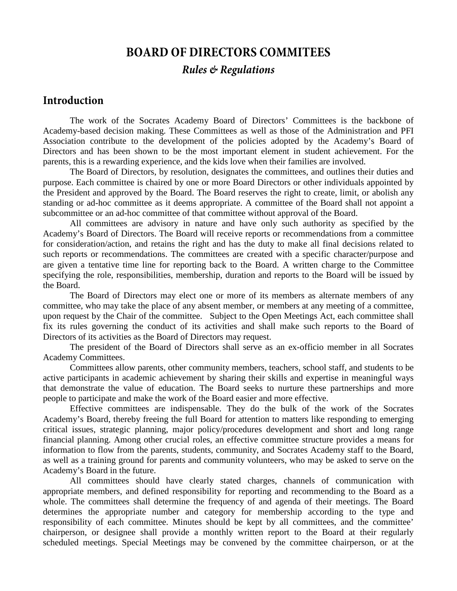# **BOARD OF DIRECTORS COMMITEES** *Rules & Regulations*

#### **Introduction**

The work of the Socrates Academy Board of Directors' Committees is the backbone of Academy-based decision making. These Committees as well as those of the Administration and PFI Association contribute to the development of the policies adopted by the Academy's Board of Directors and has been shown to be the most important element in student achievement. For the parents, this is a rewarding experience, and the kids love when their families are involved.

The Board of Directors, by resolution, designates the committees, and outlines their duties and purpose. Each committee is chaired by one or more Board Directors or other individuals appointed by the President and approved by the Board. The Board reserves the right to create, limit, or abolish any standing or ad-hoc committee as it deems appropriate. A committee of the Board shall not appoint a subcommittee or an ad-hoc committee of that committee without approval of the Board.

All committees are advisory in nature and have only such authority as specified by the Academy's Board of Directors. The Board will receive reports or recommendations from a committee for consideration/action, and retains the right and has the duty to make all final decisions related to such reports or recommendations. The committees are created with a specific character/purpose and are given a tentative time line for reporting back to the Board. A written charge to the Committee specifying the role, responsibilities, membership, duration and reports to the Board will be issued by the Board.

The Board of Directors may elect one or more of its members as alternate members of any committee, who may take the place of any absent member, or members at any meeting of a committee, upon request by the Chair of the committee. Subject to the Open Meetings Act, each committee shall fix its rules governing the conduct of its activities and shall make such reports to the Board of Directors of its activities as the Board of Directors may request.

The president of the Board of Directors shall serve as an ex-officio member in all Socrates Academy Committees.

Committees allow parents, other community members, teachers, school staff, and students to be active participants in academic achievement by sharing their skills and expertise in meaningful ways that demonstrate the value of education. The Board seeks to nurture these partnerships and more people to participate and make the work of the Board easier and more effective.

Effective committees are indispensable. They do the bulk of the work of the Socrates Academy's Board, thereby freeing the full Board for attention to matters like responding to emerging critical issues, strategic planning, major policy/procedures development and short and long range financial planning. Among other crucial roles, an effective committee structure provides a means for information to flow from the parents, students, community, and Socrates Academy staff to the Board, as well as a training ground for parents and community volunteers, who may be asked to serve on the Academy's Board in the future.

All committees should have clearly stated charges, channels of communication with appropriate members, and defined responsibility for reporting and recommending to the Board as a whole. The committees shall determine the frequency of and agenda of their meetings. The Board determines the appropriate number and category for membership according to the type and responsibility of each committee. Minutes should be kept by all committees, and the committee' chairperson, or designee shall provide a monthly written report to the Board at their regularly scheduled meetings. Special Meetings may be convened by the committee chairperson, or at the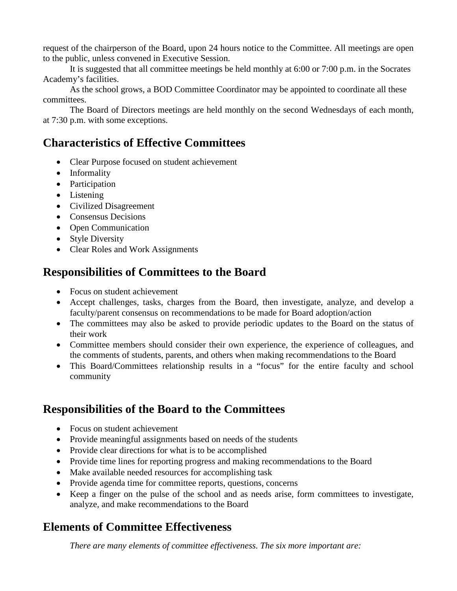request of the chairperson of the Board, upon 24 hours notice to the Committee. All meetings are open to the public, unless convened in Executive Session.

It is suggested that all committee meetings be held monthly at 6:00 or 7:00 p.m. in the Socrates Academy's facilities.

As the school grows, a BOD Committee Coordinator may be appointed to coordinate all these committees.

The Board of Directors meetings are held monthly on the second Wednesdays of each month, at 7:30 p.m. with some exceptions.

# **Characteristics of Effective Committees**

- Clear Purpose focused on student achievement
- Informality
- Participation
- Listening
- Civilized Disagreement
- Consensus Decisions
- Open Communication
- Style Diversity
- Clear Roles and Work Assignments

### **Responsibilities of Committees to the Board**

- Focus on student achievement
- Accept challenges, tasks, charges from the Board, then investigate, analyze, and develop a faculty/parent consensus on recommendations to be made for Board adoption/action
- The committees may also be asked to provide periodic updates to the Board on the status of their work
- Committee members should consider their own experience, the experience of colleagues, and the comments of students, parents, and others when making recommendations to the Board
- This Board/Committees relationship results in a "focus" for the entire faculty and school community

# **Responsibilities of the Board to the Committees**

- Focus on student achievement
- Provide meaningful assignments based on needs of the students
- Provide clear directions for what is to be accomplished
- Provide time lines for reporting progress and making recommendations to the Board
- Make available needed resources for accomplishing task
- Provide agenda time for committee reports, questions, concerns
- Keep a finger on the pulse of the school and as needs arise, form committees to investigate, analyze, and make recommendations to the Board

# **Elements of Committee Effectiveness**

*There are many elements of committee effectiveness. The six more important are:*